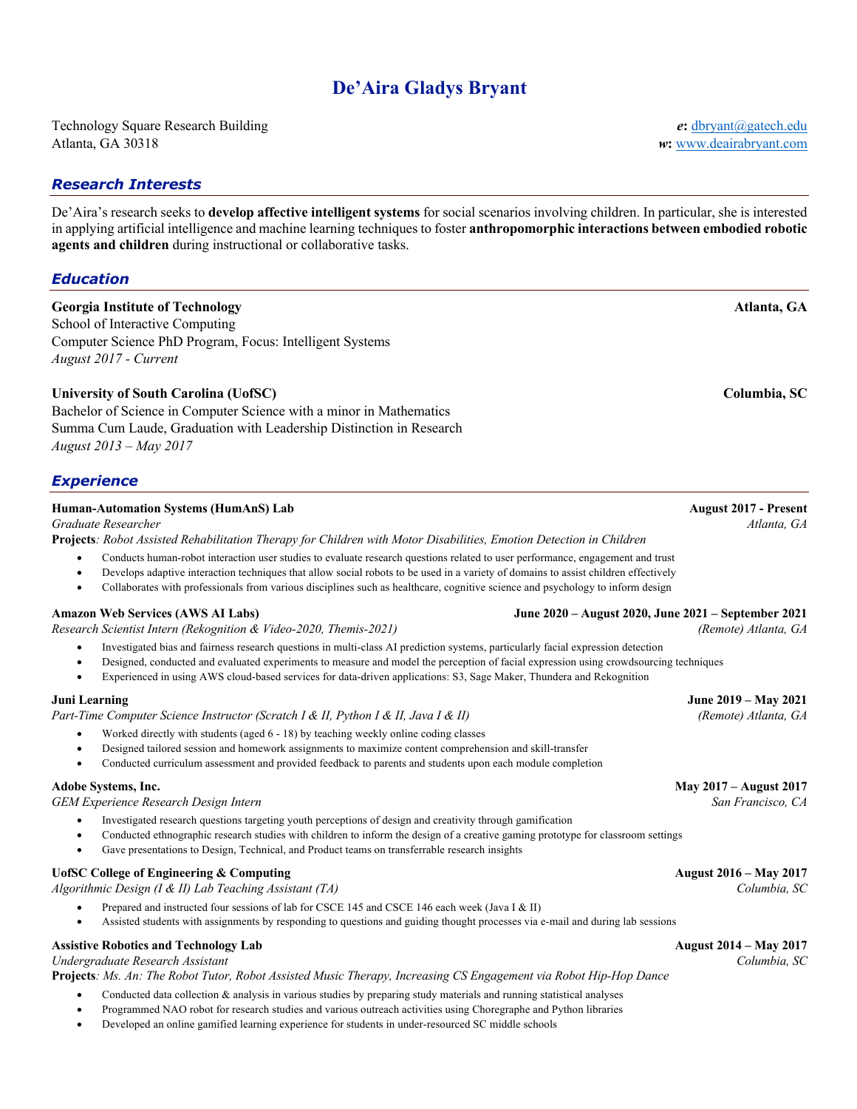# **De'Aira Gladys Bryant**

Technology Square Research Building *e***:** dbryant@gatech.edu Atlanta, GA 30318 *w***:** www.deairabryant.com

## *Research Interests*

De'Aira's research seeks to **develop affective intelligent systems** for social scenarios involving children. In particular, she is interested in applying artificial intelligence and machine learning techniques to foster **anthropomorphic interactions between embodied robotic agents and children** during instructional or collaborative tasks.

*Education*

# **Georgia Institute of Technology Atlanta, GA**

School of Interactive Computing Computer Science PhD Program, Focus: Intelligent Systems *August 2017 - Current*

### **University of South Carolina (UofSC) Columbia, SC**

Bachelor of Science in Computer Science with a minor in Mathematics Summa Cum Laude, Graduation with Leadership Distinction in Research *August 2013 – May 2017*

### *Experience*

### **Human-Automation Systems (HumAnS) Lab August 2017 - Present**

**Projects***: Robot Assisted Rehabilitation Therapy for Children with Motor Disabilities, Emotion Detection in Children*

- Conducts human-robot interaction user studies to evaluate research questions related to user performance, engagement and trust
- Develops adaptive interaction techniques that allow social robots to be used in a variety of domains to assist children effectively
- Collaborates with professionals from various disciplines such as healthcare, cognitive science and psychology to inform design

*Research Scientist Intern (Rekognition & Video-2020, Themis-2021) (Remote) Atlanta, GA*

- Investigated bias and fairness research questions in multi-class AI prediction systems, particularly facial expression detection
- Designed, conducted and evaluated experiments to measure and model the perception of facial expression using crowdsourcing techniques
- Experienced in using AWS cloud-based services for data-driven applications: S3, Sage Maker, Thundera and Rekognition

### **Juni Learning June 2019 – May 2021**

*Part-Time Computer Science Instructor (Scratch I & II, Python I & II, Java I & II) (Remote) Atlanta, GA*

- Worked directly with students (aged 6 18) by teaching weekly online coding classes
- Designed tailored session and homework assignments to maximize content comprehension and skill-transfer
- Conducted curriculum assessment and provided feedback to parents and students upon each module completion

*GEM Experience Research Design Intern San Francisco, CA*

- Investigated research questions targeting youth perceptions of design and creativity through gamification
- Conducted ethnographic research studies with children to inform the design of a creative gaming prototype for classroom settings
- Gave presentations to Design, Technical, and Product teams on transferrable research insights

### UofSC College of Engineering & Computing **August 2016 August 2016 August 2016 August 2016 August 2016**

*Algorithmic Design (I & II) Lab Teaching Assistant (TA) Columbia, SC*

- Prepared and instructed four sessions of lab for CSCE 145 and CSCE 146 each week (Java I & II)
- Assisted students with assignments by responding to questions and guiding thought processes via e-mail and during lab sessions

# **Assistive Robotics and Technology Lab August 2014 – May 2017**

**Projects***: Ms. An: The Robot Tutor, Robot Assisted Music Therapy, Increasing CS Engagement via Robot Hip-Hop Dance*

- Conducted data collection & analysis in various studies by preparing study materials and running statistical analyses
- Programmed NAO robot for research studies and various outreach activities using Choregraphe and Python libraries
- Developed an online gamified learning experience for students in under-resourced SC middle schools

# **Amazon Web Services (AWS AI Labs) June 2020 – August 2020, June 2021 – September 2021**

*Undergraduate Research Assistant Columbia, SC*

# *Graduate Researcher Atlanta, GA*

**Adobe Systems, Inc. May 2017 – August 2017**